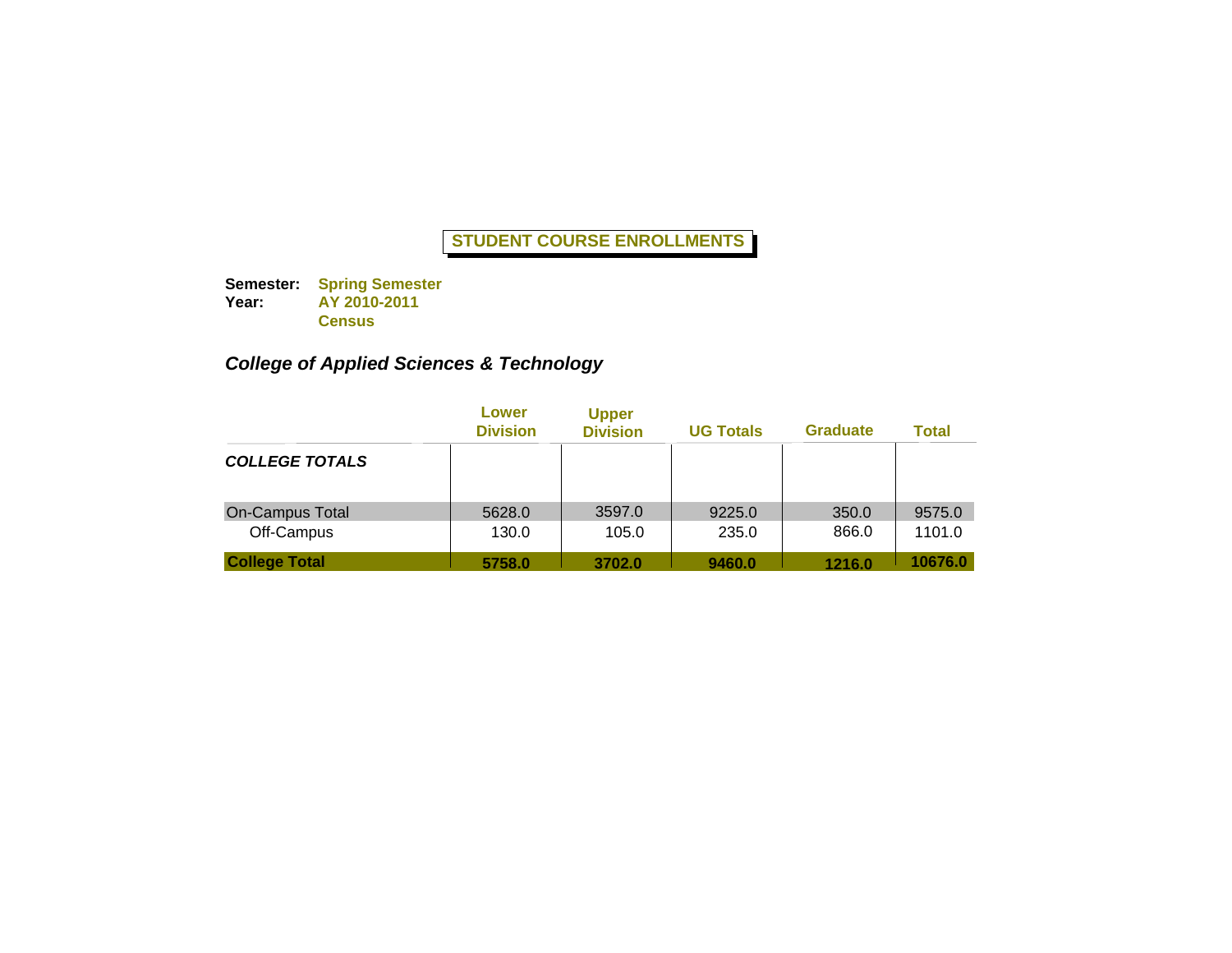**Semester: Spring Semester Year: AY 2010-2011 Census**

# *College of Applied Sciences & Technology*

|                                      | Lower<br><b>Division</b> | <b>Upper</b><br><b>Division</b> | <b>UG Totals</b> | <b>Graduate</b> | <b>Total</b>     |
|--------------------------------------|--------------------------|---------------------------------|------------------|-----------------|------------------|
| <b>COLLEGE TOTALS</b>                |                          |                                 |                  |                 |                  |
| <b>On-Campus Total</b><br>Off-Campus | 5628.0<br>130.0          | 3597.0<br>105.0                 | 9225.0<br>235.0  | 350.0<br>866.0  | 9575.0<br>1101.0 |
| <b>College Total</b>                 | 5758.0                   | 3702.0                          | 9460.0           | 1216.0          | 10676.0          |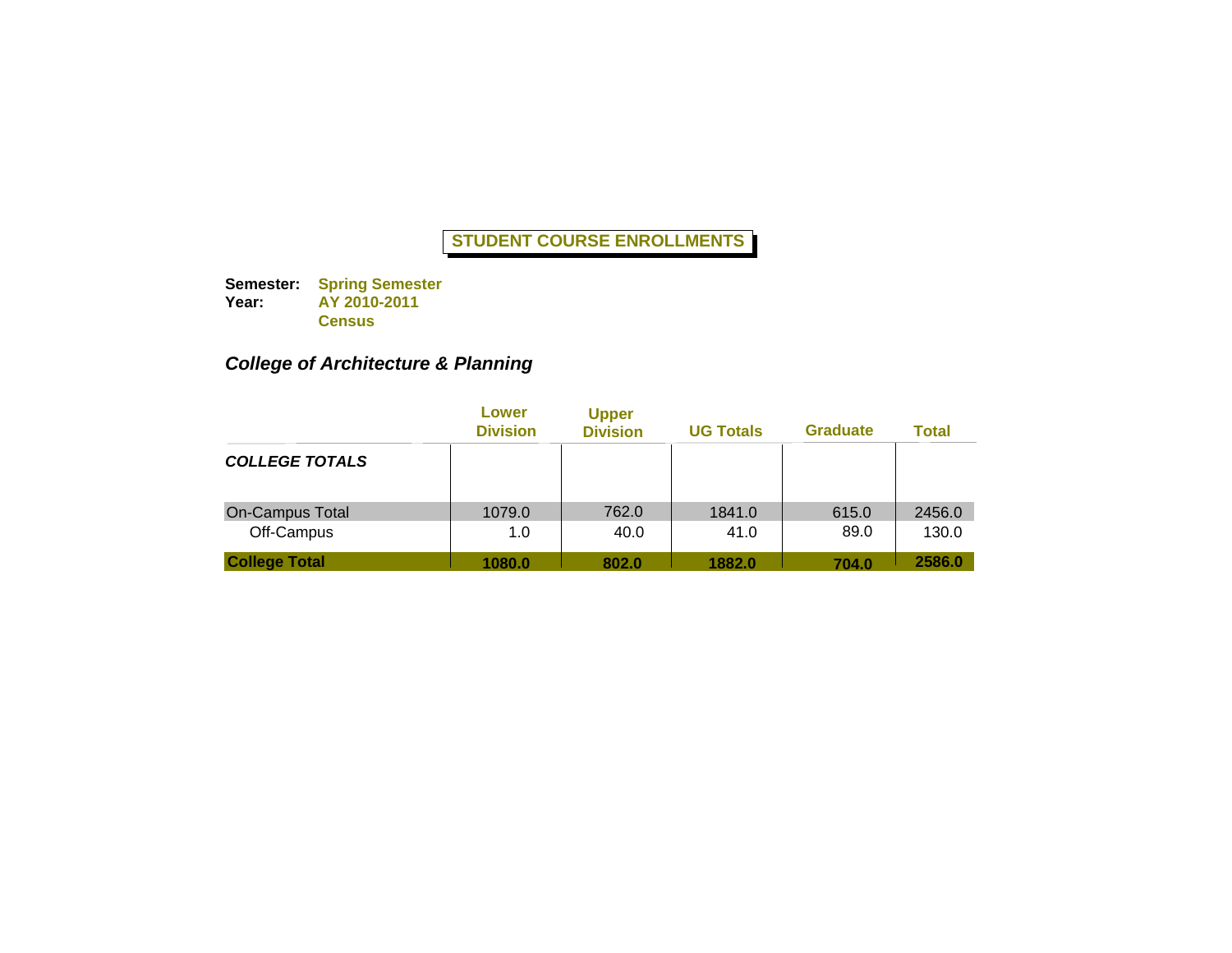**Semester: Spring Semester Year: AY 2010-2011 Census**

# *College of Architecture & Planning*

|                                      | Lower<br><b>Division</b> | <b>Upper</b><br><b>Division</b> | <b>UG Totals</b> | <b>Graduate</b> | <b>Total</b>    |
|--------------------------------------|--------------------------|---------------------------------|------------------|-----------------|-----------------|
| <b>COLLEGE TOTALS</b>                |                          |                                 |                  |                 |                 |
| <b>On-Campus Total</b><br>Off-Campus | 1079.0<br>1.0            | 762.0<br>40.0                   | 1841.0<br>41.0   | 615.0<br>89.0   | 2456.0<br>130.0 |
| <b>College Total</b>                 | 1080.0                   | 802.0                           | 1882.0           | 704.0           | 2586.0          |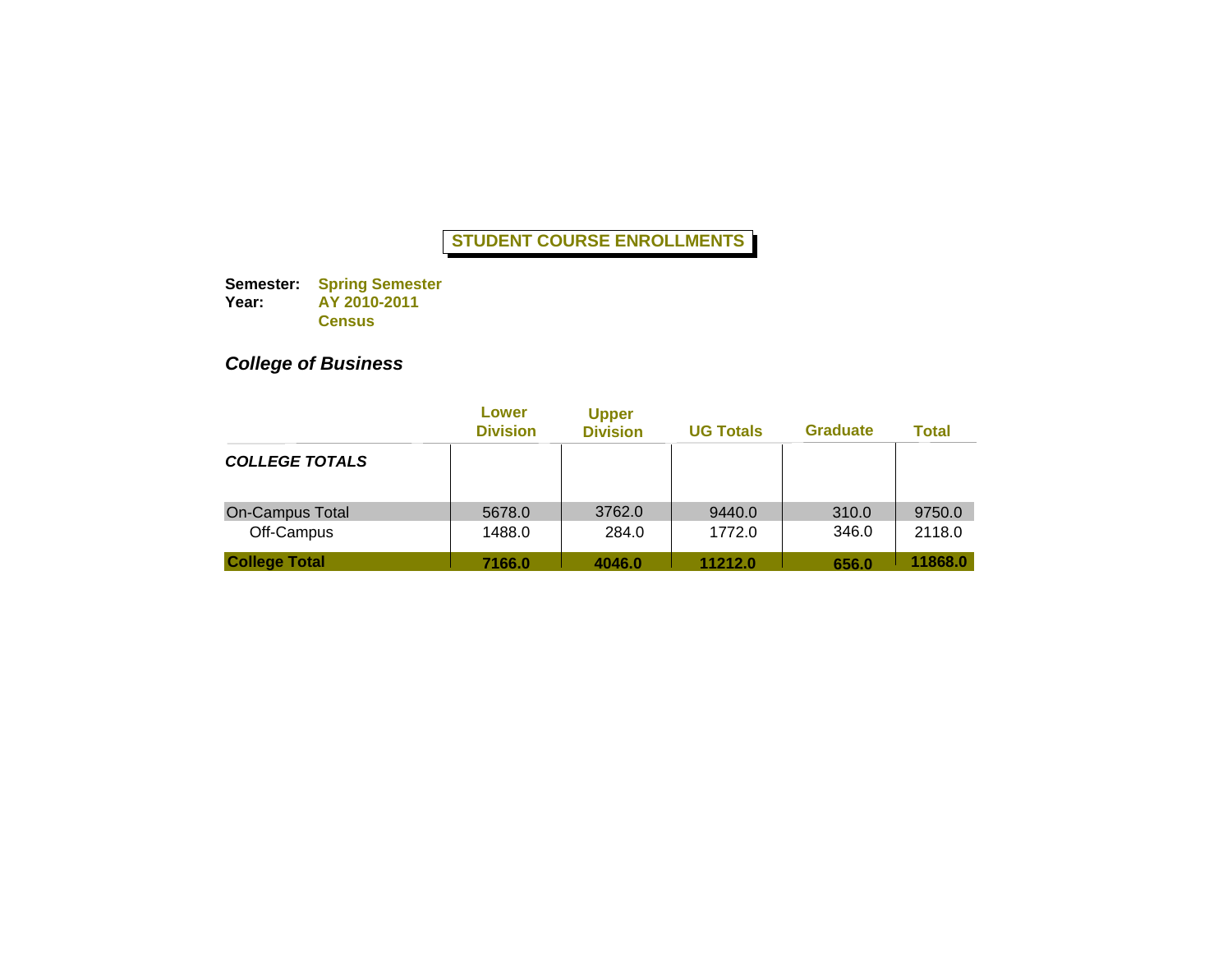**Semester: Year: Spring Semester AY 2010-2011 Census**

# *College of Business*

|                                      | Lower<br><b>Division</b> | <b>Upper</b><br><b>Division</b> | <b>UG Totals</b> | <b>Graduate</b> | Total            |
|--------------------------------------|--------------------------|---------------------------------|------------------|-----------------|------------------|
| <b>COLLEGE TOTALS</b>                |                          |                                 |                  |                 |                  |
| <b>On-Campus Total</b><br>Off-Campus | 5678.0<br>1488.0         | 3762.0<br>284.0                 | 9440.0<br>1772.0 | 310.0<br>346.0  | 9750.0<br>2118.0 |
| <b>College Total</b>                 | 7166.0                   | 4046.0                          | 11212.0          | 656.0           | 11868.0          |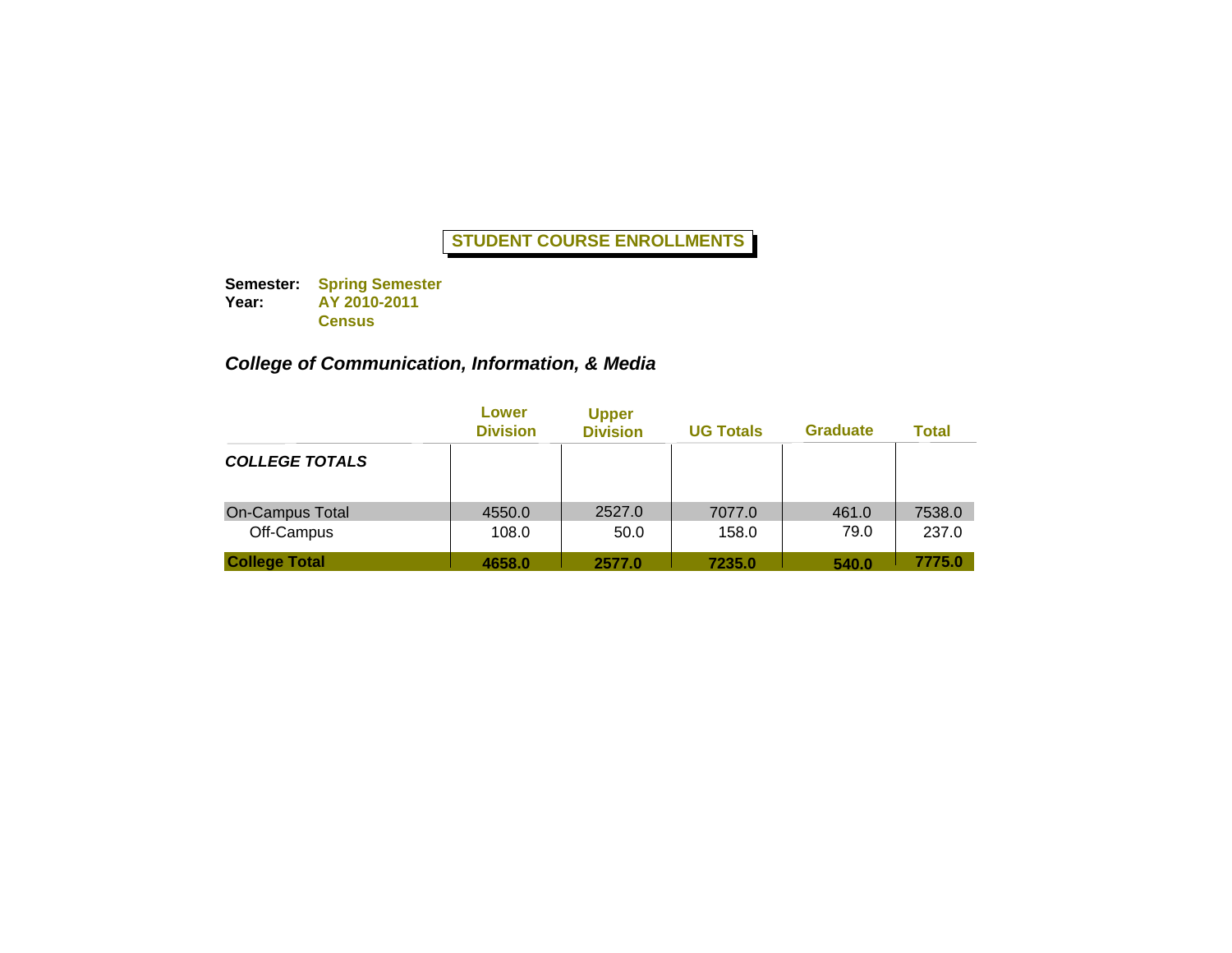**Semester: Spring Semester Year: AY 2010-2011 Census**

# *College of Communication, Information, & Media*

|                                      | Lower<br><b>Division</b> | <b>Upper</b><br><b>Division</b> | <b>UG Totals</b> | <b>Graduate</b> | <b>Total</b>    |
|--------------------------------------|--------------------------|---------------------------------|------------------|-----------------|-----------------|
| <b>COLLEGE TOTALS</b>                |                          |                                 |                  |                 |                 |
| <b>On-Campus Total</b><br>Off-Campus | 4550.0<br>108.0          | 2527.0<br>50.0                  | 7077.0<br>158.0  | 461.0<br>79.0   | 7538.0<br>237.0 |
| <b>College Total</b>                 | 4658.0                   | 2577.0                          | 7235.0           | 540.0           | 7775.0          |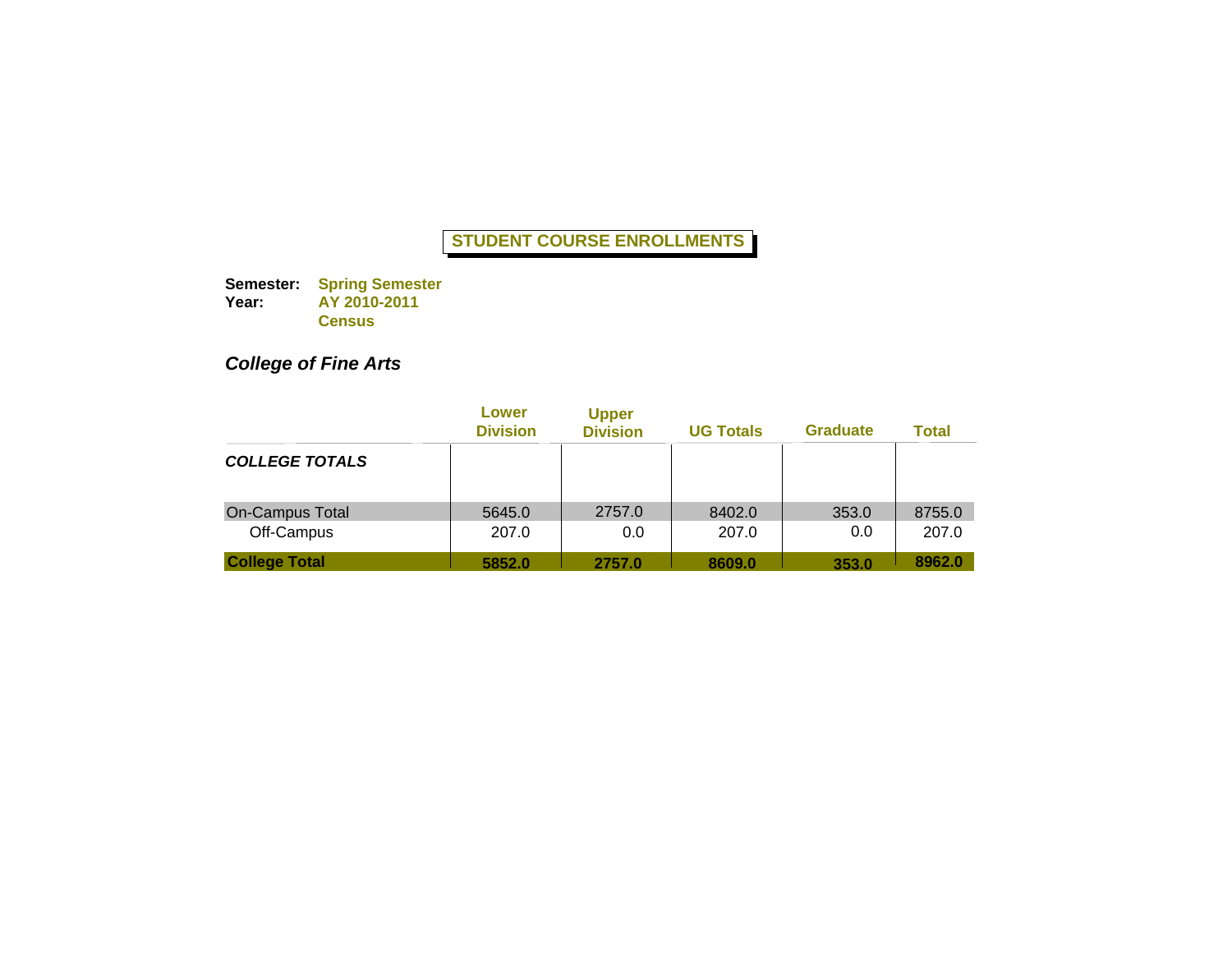**Semester: Year: Spring Semester AY 2010-2011 Census**

# *College of Fine Arts*

|                                      | Lower<br><b>Division</b> | <b>Upper</b><br><b>Division</b> | <b>UG Totals</b> | <b>Graduate</b> | Total           |
|--------------------------------------|--------------------------|---------------------------------|------------------|-----------------|-----------------|
| <b>COLLEGE TOTALS</b>                |                          |                                 |                  |                 |                 |
| <b>On-Campus Total</b><br>Off-Campus | 5645.0<br>207.0          | 2757.0<br>0.0                   | 8402.0<br>207.0  | 353.0<br>0.0    | 8755.0<br>207.0 |
| <b>College Total</b>                 | 5852.0                   | 2757.0                          | 8609.0           | 353.0           | 8962.0          |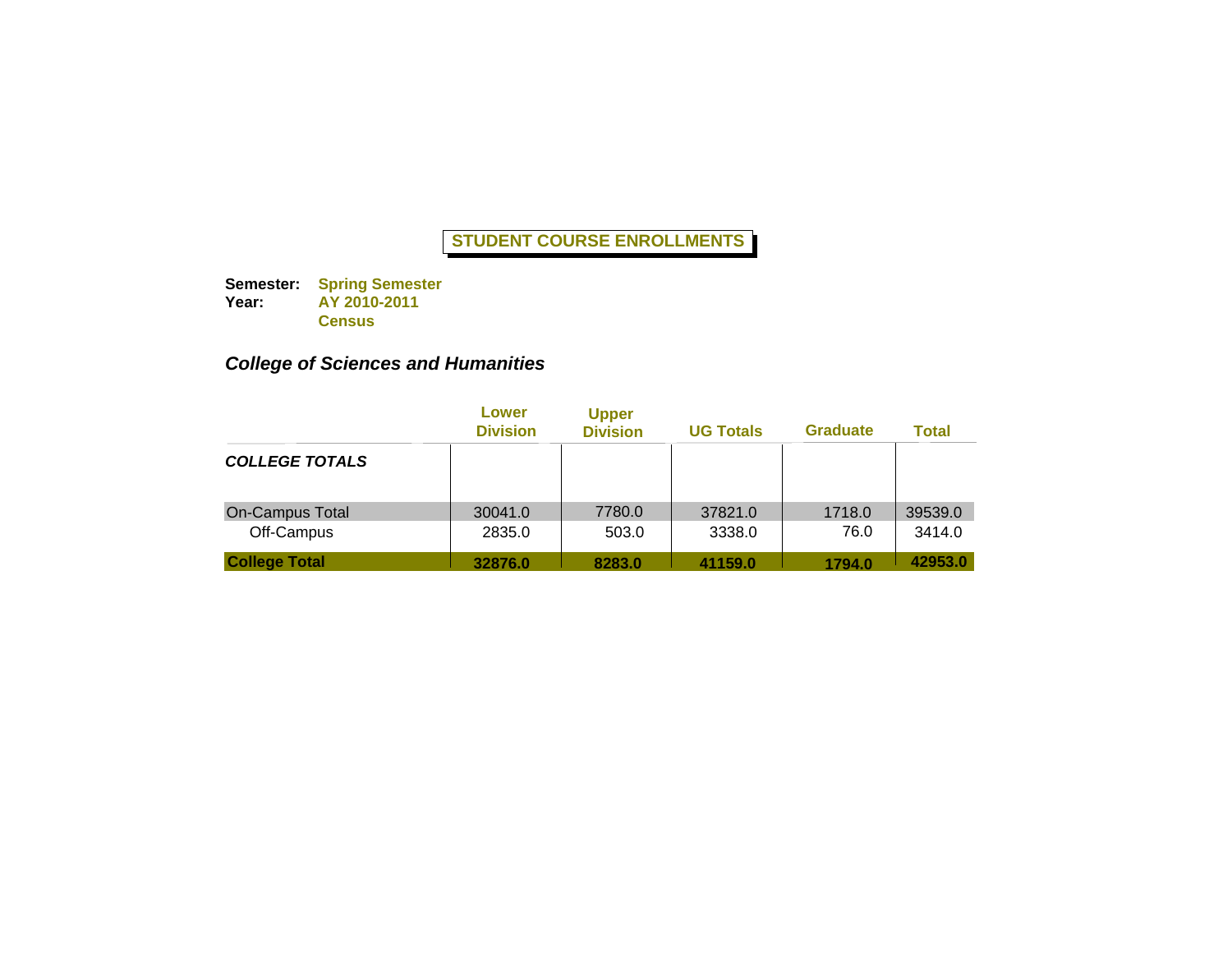**Semester: Year: Spring Semester AY 2010-2011 Census**

# *College of Sciences and Humanities*

|                                      | Lower<br><b>Division</b> | <b>Upper</b><br><b>Division</b> | <b>UG Totals</b>  | <b>Graduate</b> | <b>Total</b>      |
|--------------------------------------|--------------------------|---------------------------------|-------------------|-----------------|-------------------|
| <b>COLLEGE TOTALS</b>                |                          |                                 |                   |                 |                   |
| <b>On-Campus Total</b><br>Off-Campus | 30041.0<br>2835.0        | 7780.0<br>503.0                 | 37821.0<br>3338.0 | 1718.0<br>76.0  | 39539.0<br>3414.0 |
| <b>College Total</b>                 | 32876.0                  | 8283.0                          | 41159.0           | 1794.0          | 42953.0           |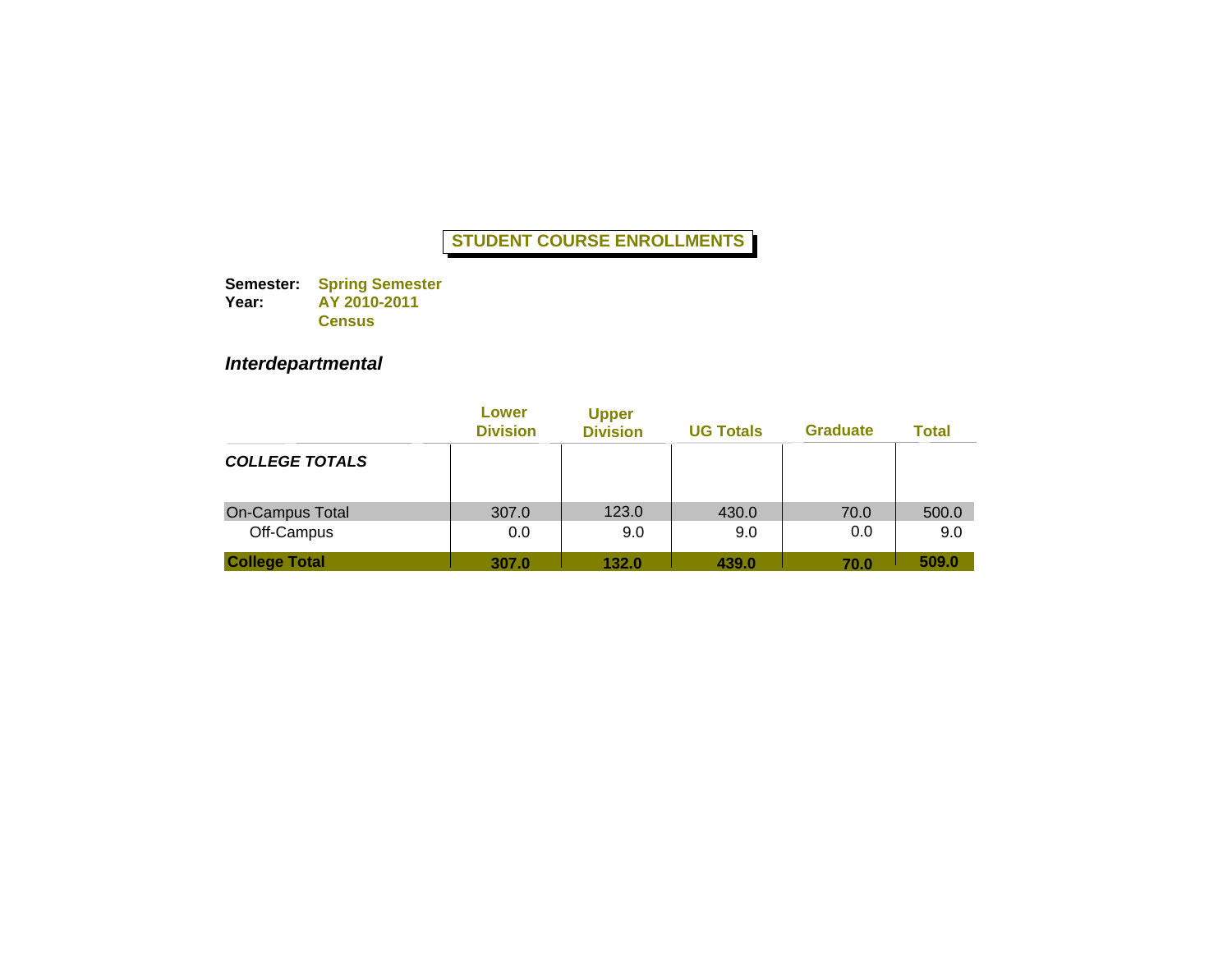**Semester: Year: Spring Semester AY 2010-2011 Census**

# *Interdepartmental*

|                               | Lower<br><b>Division</b> | <b>Upper</b><br><b>Division</b> | <b>UG Totals</b> | <b>Graduate</b> | Total        |
|-------------------------------|--------------------------|---------------------------------|------------------|-----------------|--------------|
| <b>COLLEGE TOTALS</b>         |                          |                                 |                  |                 |              |
| On-Campus Total<br>Off-Campus | 307.0<br>0.0             | 123.0<br>9.0                    | 430.0<br>9.0     | 70.0<br>0.0     | 500.0<br>9.0 |
| <b>College Total</b>          | 307.0                    | 132.0                           | 439.0            | 70.0            | 509.0        |